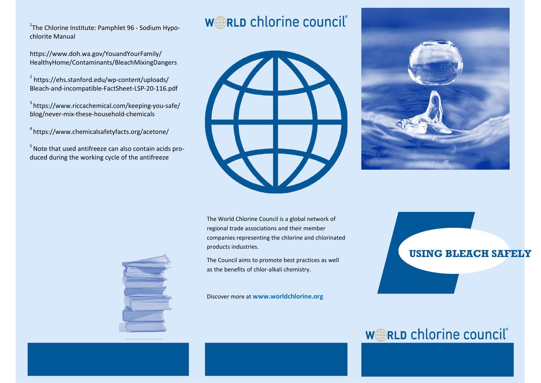<sup>1</sup>The Chlorine Institute: Pamphlet 96 - Sodium Hypochlorite Manual

https://www.doh.wa.gov/YouandYourFamily/ HealthyHome/Contaminants/BleachMixingDangers

2 https://ehs.stanford.edu/wp-content/uploads/ Bleach-and-incompatible-FactSheet-LSP-20-116.pdf

3 https://www.riccachemical.com/keeping-you-safe/ blog/never-mix-these-household-chemicals

4 https://www.chemicalsafetyfacts.org/acetone/

<sup>5</sup> Note that used antifreeze can also contain acids produced during the working cycle of the antifreeze

## **WARLD chlorine council**®





The World Chlorine Council is a global network of regional trade associations and their member companies representing the chlorine and chlorinated products industries.

The Council aims to promote best practices as well as the benefits of chlor-alkali chemistry.

Discover more at **www.worldchlorine.org**

# **USING BLEACH SAFELY**

## **WARLD chlorine council**®